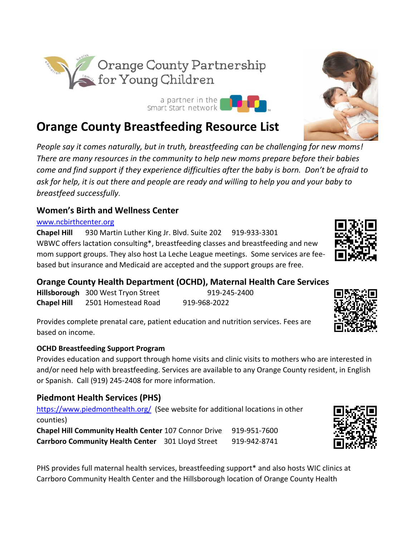**Orange County Breastfeeding Resource List**

*People say it comes naturally, but in truth, breastfeeding can be challenging for new moms! There are many resources in the community to help new moms prepare before their babies come and find support if they experience difficulties after the baby is born. Don't be afraid to ask for help, it is out there and people are ready and willing to help you and your baby to breastfeed successfully*.

### **Women's Birth and Wellness Center**

[www.ncbirthcenter.org](http://www.ncbirthcenter.org/)

**Chapel Hill** 930 Martin Luther King Jr. Blvd. Suite 202 [919-933-3301](about:blank) WBWC offers lactation consulting\*, breastfeeding classes and breastfeeding and new mom support groups. They also host La Leche League meetings. Some services are feebased but insurance and Medicaid are accepted and the support groups are free.

### **Orange County Health Department (OCHD), Maternal Health Care Services**

Hillsborough 300 West Tryon Street 919-245-2400 **Chapel Hill** 2501 Homestead Road 919-968-2022

Provides complete prenatal care, patient education and nutrition services. Fees are based on income.

### **OCHD Breastfeeding Support Program**

Provides education and support through home visits and clinic visits to mothers who are interested in and/or need help with breastfeeding. Services are available to any Orange County resident, in English or Spanish. Call (919) 245-2408 for more information.

# **Piedmont Health Services (PHS)**

<https://www.piedmonthealth.org/>(See website for additional locations in other counties) **Chapel Hill Community Health Center 107 Connor Drive 919-951-7600 Carrboro Community Health Center** 301 Lloyd Street 919-942-8741

PHS provides full maternal health services, breastfeeding support\* and also hosts WIC clinics at Carrboro Community Health Center and the Hillsborough location of Orange County Health









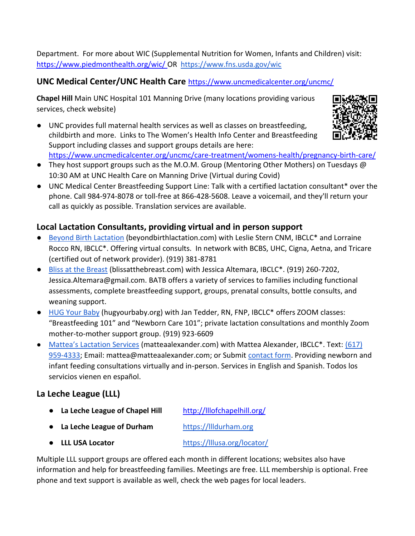Department. For more about WIC (Supplemental Nutrition for Women, Infants and Children) visit: <https://www.piedmonthealth.org/wic/> OR<https://www.fns.usda.gov/wic>

## **UNC Medical Center/UNC Health Care** <https://www.uncmedicalcenter.org/uncmc/>

**Chapel Hill** Main UNC Hospital 101 Manning Drive (many locations providing various services, check website)

● UNC provides full maternal health services as well as classes on breastfeeding, childbirth and more. Links to The Women's Health Info Center and Breastfeeding Support including classes and support groups details are here: [https://www.uncmedicalcenter.org/uncmc/care-treatment/womens-health/pregnancy-birth-care/](https://www.uncmedicalcenter.org/uncmc/care-treatment/womens-health/pregnancy-birth-care/breastfeeding-support/)



- They host support groups such as the M.O.M. Group (Mentoring Other Mothers) on Tuesdays @ 10:30 AM at UNC Health Care on Manning Drive (Virtual during Covid)
- UNC Medical Center Breastfeeding Support Line: Talk with a certified lactation consultant\* over the phone. Call [984-974-8078](about:blank) or toll-free at [866-428-5608.](about:blank) Leave a voicemail, and they'll return your call as quickly as possible. Translation services are available.

## **Local Lactation Consultants, providing virtual and in person support**

- [Beyond Birth Lactation](http://www.beyondbirthlactation.com/) (beyondbirthlactation.com) with Leslie Stern CNM, IBCLC\* and Lorraine Rocco RN, IBCLC\*. Offering virtual consults. In network with BCBS, UHC, Cigna, Aetna, and Tricare (certified out of network provider). (919) 381-8781
- [Bliss at the Breast](https://www.blissatthebreast.com/) (blissatthebreast.com) with Jessica Altemara, IBCLC\*. (919) 260-7202, Jessica.Altemara@gmail.com. BATB offers a variety of services to families including functional assessments, complete breastfeeding support, groups, prenatal consults, bottle consults, and weaning support.
- [HUG Your Baby](https://www.hugyourbaby.org/lactation-consultation-parent-coaching) (hugyourbaby.org) with Jan Tedder, RN, FNP, IBCLC<sup>\*</sup> offers ZOOM classes: "Breastfeeding 101" and "Newborn Care 101"; private lactation consultations and monthly Zoom mother-to-mother support group. (919) 923-6609
- [Mattea's Lactation Services](https://www.matteaalexander.com/) (matteaalexander.com) with Mattea Alexander, IBCLC<sup>\*</sup>. Text: (617) [959-4333;](about:blank) Email: mattea@matteaalexander.com; or Submit [contact form.](https://www.matteaalexander.com/contact.html) Providing newborn and infant feeding consultations virtually and in-person. Services in English and Spanish. Todos los servicios vienen en español.

# **La Leche League (LLL)**

- **La Leche League of Chapel Hill** <http://lllofchapelhill.org/> ● **La Leche League of Durham** https://llldurham.org
- **LLL USA Locator** <https://lllusa.org/locator/>

Multiple LLL support groups are offered each month in different locations; websites also have information and help for breastfeeding families. Meetings are free. LLL membership is optional. Free phone and text support is available as well, check the web pages for local leaders.